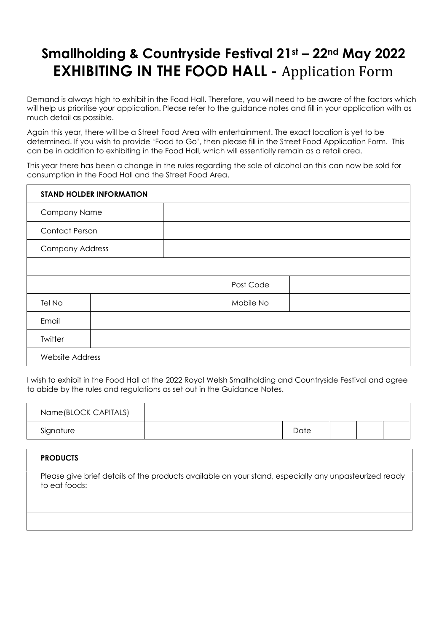## **Smallholding & Countryside Festival 21st – 22nd May 2022 EXHIBITING IN THE FOOD HALL -** Application Form

Demand is always high to exhibit in the Food Hall. Therefore, you will need to be aware of the factors which will help us prioritise your application. Please refer to the guidance notes and fill in your application with as much detail as possible.

Again this year, there will be a Street Food Area with entertainment. The exact location is yet to be determined. If you wish to provide 'Food to Go', then please fill in the Street Food Application Form. This can be in addition to exhibiting in the Food Hall, which will essentially remain as a retail area.

This year there has been a change in the rules regarding the sale of alcohol an this can now be sold for consumption in the Food Hall and the Street Food Area.

| <b>STAND HOLDER INFORMATION</b> |  |  |           |  |  |
|---------------------------------|--|--|-----------|--|--|
| Company Name                    |  |  |           |  |  |
| <b>Contact Person</b>           |  |  |           |  |  |
| <b>Company Address</b>          |  |  |           |  |  |
|                                 |  |  |           |  |  |
|                                 |  |  | Post Code |  |  |
| Tel No                          |  |  | Mobile No |  |  |
| Email                           |  |  |           |  |  |
| Twitter                         |  |  |           |  |  |
| <b>Website Address</b>          |  |  |           |  |  |

I wish to exhibit in the Food Hall at the 2022 Royal Welsh Smallholding and Countryside Festival and agree to abide by the rules and regulations as set out in the Guidance Notes.

| Name(BLOCK CAPITALS) |      |  |  |
|----------------------|------|--|--|
| Signature            | Date |  |  |

| <b>PRODUCTS</b>                                                                                                        |
|------------------------------------------------------------------------------------------------------------------------|
| Please give brief details of the products available on your stand, especially any unpasteurized ready<br>to eat foods: |
|                                                                                                                        |
|                                                                                                                        |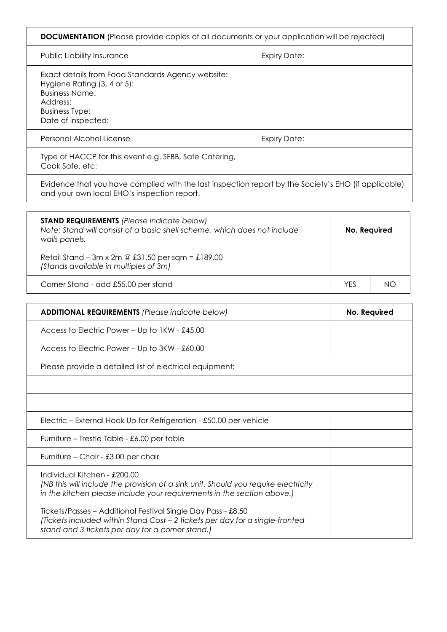| <b>DOCUMENTATION</b> (Please provide copies of all documents or your application will be rejected)                                                                   |                     |  |
|----------------------------------------------------------------------------------------------------------------------------------------------------------------------|---------------------|--|
| <b>Public Liability Insurance</b>                                                                                                                                    | <b>Expiry Date:</b> |  |
| Exact details from Food Standards Agency website:<br>Hygiene Rating (3, 4 or 5):<br><b>Business Name:</b><br>Address:<br><b>Business Type:</b><br>Date of inspected: |                     |  |
| Personal Alcohol License                                                                                                                                             | <b>Expiry Date:</b> |  |
| Type of HACCP for this event e.g. SFBB, Safe Catering,<br>Cook Safe, etc:                                                                                            |                     |  |
|                                                                                                                                                                      |                     |  |

Evidence that you have complied with the last inspection report by the Society's EHO (if applicable) and your own local EHO's inspection report.

| <b>STAND REQUIREMENTS</b> (Please indicate below)<br>Note: Stand will consist of a basic shell scheme, which does not include<br>walls panels. | No. Required |     |  |
|------------------------------------------------------------------------------------------------------------------------------------------------|--------------|-----|--|
| Retail Stand – 3m x 2m @ £31.50 per sqm = £189.00<br>(Stands available in multiples of 3m)                                                     |              |     |  |
| Corner Stand - add £55.00 per stand                                                                                                            | YFS          | NC. |  |

| <b>ADDITIONAL REQUIREMENTS (Please indicate below)</b>                                                                                                                                           | No. Required |
|--------------------------------------------------------------------------------------------------------------------------------------------------------------------------------------------------|--------------|
| Access to Electric Power – Up to 1KW - £45.00                                                                                                                                                    |              |
| Access to Electric Power – Up to 3KW - £60.00                                                                                                                                                    |              |
| Please provide a detailed list of electrical equipment:                                                                                                                                          |              |
|                                                                                                                                                                                                  |              |
|                                                                                                                                                                                                  |              |
| Electric – External Hook Up for Refrigeration - £50.00 per vehicle                                                                                                                               |              |
| Furniture – Trestle Table - £6.00 per table                                                                                                                                                      |              |
| Furniture – Chair - £3.00 per chair                                                                                                                                                              |              |
| Individual Kitchen - £200.00<br>(NB this will include the provision of a sink unit. Should you require electricity<br>in the kitchen please include your requirements in the section above.)     |              |
| Tickets/Passes – Additional Festival Single Day Pass - £8.50<br>(Tickets included within Stand Cost - 2 tickets per day for a single-fronted<br>stand and 3 tickets per day for a corner stand.) |              |